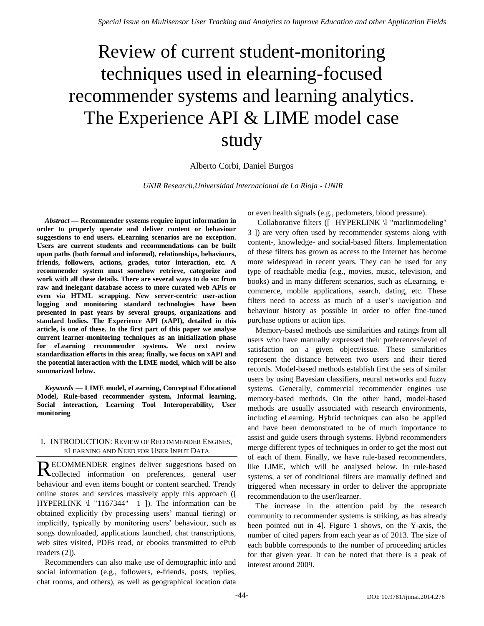# Review of current student-monitoring techniques used in elearning-focused recommender systems and learning analytics. The Experience API & LIME model case study

# Alberto Corbi, Daniel Burgos

*UNIR Research,Universidad Internacional de La Rioja - UNIR*

*Abstract* **— Recommender systems require input information in order to properly operate and deliver content or behaviour suggestions to end users. eLearning scenarios are no exception. Users are current students and recommendations can be built upon paths (both formal and informal), relationships, behaviours, friends, followers, actions, grades, tutor interaction, etc. A recommender system must somehow retrieve, categorize and work with all these details. There are several ways to do so: from raw and inelegant database access to more curated web APIs or even via HTML scrapping. New server-centric user-action logging and monitoring standard technologies have been presented in past years by several groups, organizations and standard bodies. The Experience API (xAPI), detailed in this article, is one of these. In the first part of this paper we analyse current learner-monitoring techniques as an initialization phase for eLearning recommender systems. We next review standardization efforts in this area; finally, we focus on xAPI and the potential interaction with the LIME model, which will be also summarized below.**

*Keywords* **— LIME model, eLearning, Conceptual Educational Model, Rule-based recommender system, Informal learning, Social interaction, Learning Tool Interoperability, User monitoring**

# I. INTRODUCTION: REVIEW OF RECOMMENDER ENGINES, ELEARNING AND NEED FOR USER INPUT DATA

ECOMMENDER engines deliver suggestions based on RECOMMENDER engines deliver suggestions based on Recollected information on preferences, general user behaviour and even items bought or content searched. Trendy online stores and services massively apply this approach ([ HYPERLINK  $\lvert 1 \rvert$  "1167344" 1 ]). The information can be obtained explicitly (by processing users' manual tiering) or implicitly, typically by monitoring users' behaviour, such as songs downloaded, applications launched, chat transcriptions, web sites visited, PDFs read, or ebooks transmitted to ePub readers (2]).

Recommenders can also make use of demographic info and social information (e.g., followers, e-friends, posts, replies, chat rooms, and others), as well as geographical location data or even health signals (e.g., pedometers, blood pressure).

Collaborative filters ([ HYPERLINK \l "marlinmodeling" 3 ]) are very often used by recommender systems along with content-, knowledge- and social-based filters. Implementation of these filters has grown as access to the Internet has become more widespread in recent years. They can be used for any type of reachable media (e.g., movies, music, television, and books) and in many different scenarios, such as eLearning, ecommerce, mobile applications, search, dating, etc. These filters need to access as much of a user's navigation and behaviour history as possible in order to offer fine-tuned purchase options or action tips.

Memory-based methods use similarities and ratings from all users who have manually expressed their preferences/level of satisfaction on a given object/issue. These similarities represent the distance between two users and their tiered records. Model-based methods establish first the sets of similar users by using Bayesian classifiers, neural networks and fuzzy systems. Generally, commercial recommender engines use memory-based methods. On the other hand, model-based methods are usually associated with research environments, including eLearning. Hybrid techniques can also be applied and have been demonstrated to be of much importance to assist and guide users through systems. Hybrid recommenders merge different types of techniques in order to get the most out of each of them. Finally, we have rule-based recommenders, like LIME, which will be analysed below. In rule-based systems, a set of conditional filters are manually defined and triggered when necessary in order to deliver the appropriate recommendation to the user/learner.

The increase in the attention paid by the research community to recommender systems is striking, as has already been pointed out in 4]. Figure 1 shows, on the Y-axis, the number of cited papers from each year as of 2013. The size of each bubble corresponds to the number of proceeding articles for that given year. It can be noted that there is a peak of interest around 2009.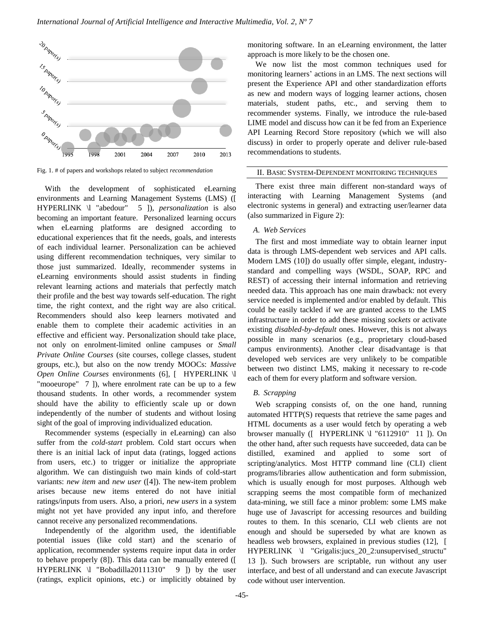

Fig. 1. # of papers and workshops related to subject *recommendation*

With the development of sophisticated eLearning environments and Learning Management Systems (LMS) ([ HYPERLINK \l "abedour" 5 ]), *personalization* is also becoming an important feature. Personalized learning occurs when eLearning platforms are designed according to educational experiences that fit the needs, goals, and interests of each individual learner. Personalization can be achieved using different recommendation techniques, very similar to those just summarized. Ideally, recommender systems in eLearning environments should assist students in finding relevant learning actions and materials that perfectly match their profile and the best way towards self-education. The right time, the right context, and the right way are also critical. Recommenders should also keep learners motivated and enable them to complete their academic activities in an effective and efficient way. Personalization should take place, not only on enrolment-limited online campuses or *Small Private Online Courses* (site courses, college classes, student groups, etc.), but also on the now trendy MOOCs: *Massive Open Online Courses* environments (6], [ HYPERLINK \l "mooeurope" 7 ]), where enrolment rate can be up to a few thousand students. In other words, a recommender system should have the ability to efficiently scale up or down independently of the number of students and without losing sight of the goal of improving individualized education.

Recommender systems (especially in eLearning) can also suffer from the *cold-start* problem. Cold start occurs when there is an initial lack of input data (ratings, logged actions from users, etc.) to trigger or initialize the appropriate algorithm. We can distinguish two main kinds of cold-start variants: *new item* and *new user* ([4]). The new-item problem arises because new items entered do not have initial ratings/inputs from users. Also, a priori, *new users* in a system might not yet have provided any input info, and therefore cannot receive any personalized recommendations.

Independently of the algorithm used, the identifiable potential issues (like cold start) and the scenario of application, recommender systems require input data in order to behave properly (8]). This data can be manually entered ([ HYPERLINK  $\lvert$  "Bobadilla20111310" 9 ]) by the user (ratings, explicit opinions, etc.) or implicitly obtained by

monitoring software. In an eLearning environment, the latter approach is more likely to be the chosen one.

We now list the most common techniques used for monitoring learners' actions in an LMS. The next sections will present the Experience API and other standardization efforts as new and modern ways of logging learner actions, chosen materials, student paths, etc., and serving them to recommender systems. Finally, we introduce the rule-based LIME model and discuss how can it be fed from an Experience API Learning Record Store repository (which we will also discuss) in order to properly operate and deliver rule-based recommendations to students.

#### II. BASIC SYSTEM-DEPENDENT MONITORING TECHNIQUES

There exist three main different non-standard ways of interacting with Learning Management Systems (and electronic systems in general) and extracting user/learner data (also summarized in Figure 2):

# *A. Web Services*

The first and most immediate way to obtain learner input data is through LMS-dependent web services and API calls. Modern LMS (10]) do usually offer simple, elegant, industrystandard and compelling ways (WSDL, SOAP, RPC and REST) of accessing their internal information and retrieving needed data. This approach has one main drawback: not every service needed is implemented and/or enabled by default. This could be easily tackled if we are granted access to the LMS infrastructure in order to add these missing *sockets* or activate existing *disabled-by-default* ones. However, this is not always possible in many scenarios (e.g., proprietary cloud-based campus environments). Another clear disadvantage is that developed web services are very unlikely to be compatible between two distinct LMS, making it necessary to re-code each of them for every platform and software version.

#### *B. Scrapping*

Web scrapping consists of, on the one hand, running automated HTTP(S) requests that retrieve the same pages and HTML documents as a user would fetch by operating a web browser manually ([ HYPERLINK \l "6112910" 11 ]). On the other hand, after such requests have succeeded, data can be distilled, examined and applied to some sort of scripting/analytics. Most HTTP command line (CLI) client programs/libraries allow authentication and form submission, which is usually enough for most purposes. Although web scrapping seems the most compatible form of mechanized data-mining, we still face a minor problem: some LMS make huge use of Javascript for accessing resources and building routes to them. In this scenario, CLI web clients are not enough and should be superseded by what are known as headless web browsers, explained in previous studies (12), [ HYPERLINK \l "Grigalis:jucs\_20\_2:unsupervised\_structu" 13 ]). Such browsers are scriptable, run without any user interface, and best of all understand and can execute Javascript code without user intervention.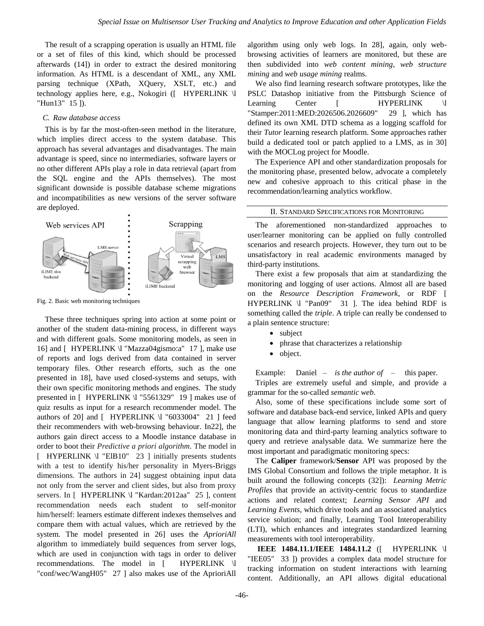The result of a scrapping operation is usually an HTML file or a set of files of this kind, which should be processed afterwards (14]) in order to extract the desired monitoring information. As HTML is a descendant of XML, any XML parsing technique (XPath, XQuery, XSLT, etc.) and technology applies here, e.g., Nokogiri ([ HYPERLINK \l "Hun13" 15 ]).

## *C. Raw database access*

This is by far the most-often-seen method in the literature, which implies direct access to the system database. This approach has several advantages and disadvantages. The main advantage is speed, since no intermediaries, software layers or no other different APIs play a role in data retrieval (apart from the SQL engine and the APIs themselves). The most significant downside is possible database scheme migrations and incompatibilities as new versions of the server software are deployed.



Fig. 2. Basic web monitoring techniques

These three techniques spring into action at some point or another of the student data-mining process, in different ways and with different goals. Some monitoring models, as seen in 16] and [ HYPERLINK \l "Mazza04gismo:a" 17 ], make use of reports and logs derived from data contained in server temporary files. Other research efforts, such as the one presented in 18], have used closed-systems and setups, with their own specific monitoring methods and engines. The study presented in [ HYPERLINK \l "5561329" 19 ] makes use of quiz results as input for a research recommender model. The authors of 20] and [ HYPERLINK \l "6033004" 21 ] feed their recommenders with web-browsing behaviour. In22], the authors gain direct access to a Moodle instance database in order to boot their *Predictive a priori algorithm*. The model in [ HYPERLINK \l "ElB10" 23 ] initially presents students with a test to identify his/her personality in Myers-Briggs dimensions. The authors in 24] suggest obtaining input data not only from the server and client sides, but also from proxy servers. In [ HYPERLINK \l "Kardan:2012aa" 25 ], content recommendation needs each student to self-monitor him/herself: learners estimate different indexes themselves and compare them with actual values, which are retrieved by the system. The model presented in 26] uses the *AprioriAll* algorithm to immediately build sequences from server logs, which are used in conjunction with tags in order to deliver recommendations. The model in [ HYPERLINK \l "conf/wec/WangH05" 27 ] also makes use of the AprioriAll

algorithm using only web logs. In 28], again, only webbrowsing activities of learners are monitored, but these are then subdivided into *web content mining*, *web structure mining* and *web usage mining* realms.

We also find learning research software prototypes, like the PSLC Datashop initiative from the Pittsburgh Science of Learning Center [ HYPERLINK \l "Stamper:2011:MED:2026506.2026609" 29 ], which has defined its own XML DTD schema as a logging scaffold for their *Tutor* learning research platform. Some approaches rather build a dedicated tool or patch applied to a LMS, as in 30] with the MOCLog project for Moodle.

The Experience API and other standardization proposals for the monitoring phase, presented below, advocate a completely new and cohesive approach to this critical phase in the recommendation/learning analytics workflow.

# II. STANDARD SPECIFICATIONS FOR MONITORING

The aforementioned non-standardized approaches to user/learner monitoring can be applied on fully controlled scenarios and research projects. However, they turn out to be unsatisfactory in real academic environments managed by third-party institutions.

There exist a few proposals that aim at standardizing the monitoring and logging of user actions. Almost all are based on the *Resource Description Framework*, or RDF [ HYPERLINK \l "Pan09" 31 ]. The idea behind RDF is something called the *triple*. A triple can really be condensed to a plain sentence structure:

- subject
- phrase that characterizes a relationship
- object.

Example: Daniel – *is the author of* – this paper. Triples are extremely useful and simple, and provide a grammar for the so-called *semantic web*.

Also, some of these specifications include some sort of software and database back-end service, linked APIs and query language that allow learning platforms to send and store monitoring data and third-party learning analytics software to query and retrieve analysable data. We summarize here the most important and paradigmatic monitoring specs:

The **Caliper** framework/**Sensor** API was proposed by the IMS Global Consortium and follows the triple metaphor. It is built around the following concepts (32]): *Learning Metric Profiles* that provide an activity-centric focus to standardize actions and related context; *Learning Sensor API* and *Learning Events*, which drive tools and an associated analytics service solution; and finally, Learning Tool Interoperability (LTI), which enhances and integrates standardized learning measurements with tool interoperability.

**IEEE 1484.11.1/IEEE 1484.11.2** ([ HYPERLINK \l "IEE05" 33 ]) provides a complex data model structure for tracking information on student interactions with learning content. Additionally, an API allows digital educational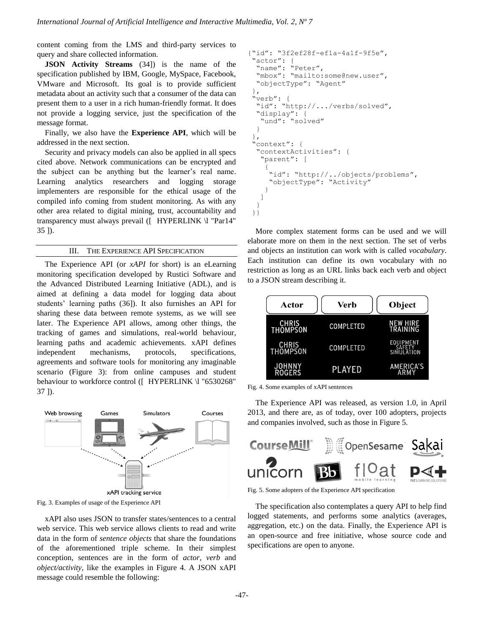content coming from the LMS and third-party services to query and share collected information.

**JSON Activity Streams** (34]) is the name of the specification published by IBM, Google, MySpace, Facebook, VMware and Microsoft. Its goal is to provide sufficient metadata about an activity such that a consumer of the data can present them to a user in a rich human-friendly format. It does not provide a logging service, just the specification of the message format.

Finally, we also have the **Experience API**, which will be addressed in the next section.

Security and privacy models can also be applied in all specs cited above. Network communications can be encrypted and the subject can be anything but the learner's real name. Learning analytics researchers and logging storage implementers are responsible for the ethical usage of the compiled info coming from student monitoring. As with any other area related to digital mining, trust, accountability and transparency must always prevail ([ HYPERLINK \l "Par14" 35 ]).

# III. THE EXPERIENCE API SPECIFICATION

The Experience API (or *xAPI* for short) is an eLearning monitoring specification developed by Rustici Software and the Advanced Distributed Learning Initiative (ADL), and is aimed at defining a data model for logging data about students' learning paths (36]). It also furnishes an API for sharing these data between remote systems, as we will see later. The Experience API allows, among other things, the tracking of games and simulations, real-world behaviour, learning paths and academic achievements. xAPI defines independent mechanisms, protocols, specifications, agreements and software tools for monitoring any imaginable scenario (Figure 3): from online campuses and student behaviour to workforce control ([ HYPERLINK \l "6530268" 37 ]).



Fig. 3. Examples of usage of the Experience API

xAPI also uses JSON to transfer states/sentences to a central web service. This web service allows clients to read and write data in the form of *sentence objects* that share the foundations of the aforementioned triple scheme. In their simplest conception, sentences are in the form of *actor*, *verb* and *object/activity*, like the examples in Figure 4. A JSON xAPI message could resemble the following:

```
{"id": "3f2ef28f-ef1a-4a1f-9f5e",
 "actor": {
  "name": "Peter",
   "mbox": "mailto:some@new.user",
   "objectType": "Agent"
 },
 "verb": {
   "id": "http://.../verbs/solved",
 "display": {
 "und": "solved"
 }
 },
 "context": {
   "contextActivities": {
    "parent": [
\left\{\begin{array}{ccc} \end{array}\right\} "id": "http://../objects/problems",
      "objectType": "Activity"
 }
    ]
 }
 }}
```
More complex statement forms can be used and we will elaborate more on them in the next section. The set of verbs and objects an institution can work with is called *vocabulary*. Each institution can define its own vocabulary with no restriction as long as an URL links back each verb and object to a JSON stream describing it.

| Actor                   | <b>Verb</b> | Object                            |
|-------------------------|-------------|-----------------------------------|
| CHRIS<br>THOMPSON       | COMPLETED   | NEW HIRE<br>TRAINING              |
| CHRIS<br>THOMPSON       | COMPLETED   | EQUIPMENT<br>SAFETY<br>SIMULATION |
| JOHNNY<br><b>ROGERS</b> | PLAYED      | <b>AMERICA'S</b>                  |

Fig. 4. Some examples of xAPI sentences

The Experience API was released, as version 1.0, in April 2013, and there are, as of today, over 100 adopters, projects and companies involved, such as those in Figure 5.



Fig. 5. Some adopters of the Experience API specification

The specification also contemplates a query API to help find logged statements, and performs some analytics (averages, aggregation, etc.) on the data. Finally, the Experience API is an open-source and free initiative, whose source code and specifications are open to anyone.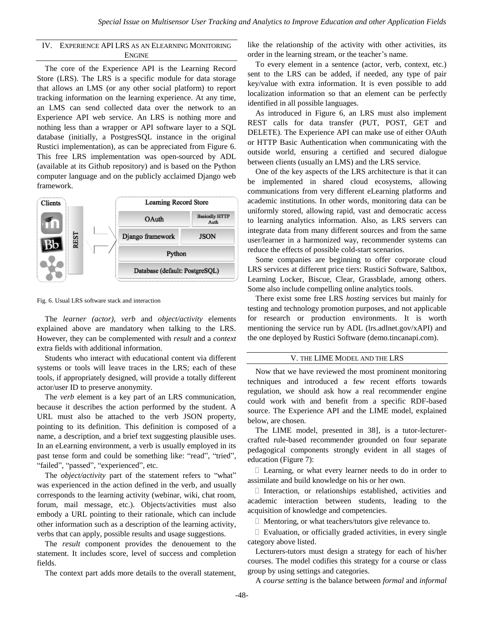# IV. EXPERIENCE API LRS AS AN ELEARNING MONITORING ENGINE

The core of the Experience API is the Learning Record Store (LRS). The LRS is a specific module for data storage that allows an LMS (or any other social platform) to report tracking information on the learning experience. At any time, an LMS can send collected data over the network to an Experience API web service. An LRS is nothing more and nothing less than a wrapper or API software layer to a SQL database (initially, a PostgresSQL instance in the original Rustici implementation), as can be appreciated from Figure 6. This free LRS implementation was open-sourced by ADL (available at its Github repository) and is based on the Python computer language and on the publicly acclaimed Django web framework.



Fig. 6. Usual LRS software stack and interaction

The *learner (actor)*, *verb* and *object/activity* elements explained above are mandatory when talking to the LRS. However, they can be complemented with *result* and a *context*  extra fields with additional information.

Students who interact with educational content via different systems or tools will leave traces in the LRS; each of these tools, if appropriately designed, will provide a totally different actor/user ID to preserve anonymity.

The *verb* element is a key part of an LRS communication, because it describes the action performed by the student. A URL must also be attached to the verb JSON property, pointing to its definition. This definition is composed of a name, a description, and a brief text suggesting plausible uses. In an eLearning environment, a verb is usually employed in its past tense form and could be something like: "read", "tried", "failed", "passed", "experienced", etc.

The *object/activity* part of the statement refers to "what" was experienced in the action defined in the verb, and usually corresponds to the learning activity (webinar, wiki, chat room, forum, mail message, etc.). Objects/activities must also embody a URL pointing to their rationale, which can include other information such as a description of the learning activity, verbs that can apply, possible results and usage suggestions.

The *result* component provides the denouement to the statement. It includes score, level of success and completion fields.

The context part adds more details to the overall statement,

like the relationship of the activity with other activities, its order in the learning stream, or the teacher's name.

To every element in a sentence (actor, verb, context, etc.) sent to the LRS can be added, if needed, any type of pair key/value with extra information. It is even possible to add localization information so that an element can be perfectly identified in all possible languages.

As introduced in Figure 6, an LRS must also implement REST calls for data transfer (PUT, POST, GET and DELETE). The Experience API can make use of either OAuth or HTTP Basic Authentication when communicating with the outside world, ensuring a certified and secured dialogue between clients (usually an LMS) and the LRS service.

One of the key aspects of the LRS architecture is that it can be implemented in shared cloud ecosystems, allowing communications from very different eLearning platforms and academic institutions. In other words, monitoring data can be uniformly stored, allowing rapid, vast and democratic access to learning analytics information. Also, as LRS servers can integrate data from many different sources and from the same user/learner in a harmonized way, recommender systems can reduce the effects of possible cold-start scenarios.

Some companies are beginning to offer corporate cloud LRS services at different price tiers: Rustici Software, Saltbox, Learning Locker, Biscue, Clear, Grassblade, among others. Some also include compelling online analytics tools.

There exist some free LRS *hosting* services but mainly for testing and technology promotion purposes, and not applicable for research or production environments. It is worth mentioning the service run by ADL (lrs.adlnet.gov/xAPI) and the one deployed by Rustici Software (demo.tincanapi.com).

#### V. THE LIME MODEL AND THE LRS

Now that we have reviewed the most prominent monitoring techniques and introduced a few recent efforts towards regulation, we should ask how a real recommender engine could work with and benefit from a specific RDF-based source. The Experience API and the LIME model, explained below, are chosen.

The LIME model, presented in 38], is a tutor-lecturercrafted rule-based recommender grounded on four separate pedagogical components strongly evident in all stages of education (Figure 7):

 Learning, or what every learner needs to do in order to assimilate and build knowledge on his or her own.

 Interaction, or relationships established, activities and academic interaction between students, leading to the acquisition of knowledge and competencies.

□ Mentoring, or what teachers/tutors give relevance to.

 $\Box$  Evaluation, or officially graded activities, in every single category above listed.

Lecturers-tutors must design a strategy for each of his/her courses. The model codifies this strategy for a course or class group by using settings and categories.

A *course setting* is the balance between *formal* and *informal*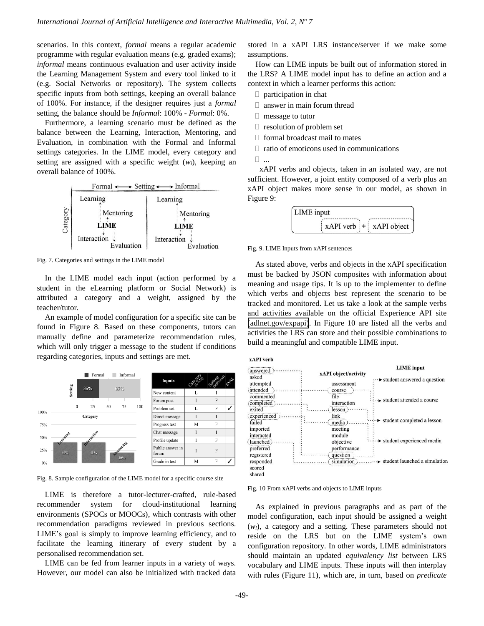scenarios. In this context, *formal* means a regular academic programme with regular evaluation means (e.g. graded exams); *informal* means continuous evaluation and user activity inside the Learning Management System and every tool linked to it (e.g. Social Networks or repository). The system collects specific inputs from both settings, keeping an overall balance of 100%. For instance, if the designer requires just a *formal* setting, the balance should be *Informal*: 100% - *Formal*: 0%.

Furthermore, a learning scenario must be defined as the balance between the Learning, Interaction, Mentoring, and Evaluation, in combination with the Formal and Informal settings categories. In the LIME model, every category and setting are assigned with a specific weight (*wi*), keeping an overall balance of 100%.



Fig. 7. Categories and settings in the LIME model

In the LIME model each input (action performed by a student in the eLearning platform or Social Network) is attributed a category and a weight, assigned by the teacher/tutor.

An example of model configuration for a specific site can be found in Figure 8. Based on these components, tutors can manually define and parameterize recommendation rules, which will only trigger a message to the student if conditions regarding categories, inputs and settings are met.



Fig. 8. Sample configuration of the LIME model for a specific course site

LIME is therefore a tutor-lecturer-crafted, rule-based recommender system for cloud-institutional learning environments (SPOCs or MOOCs), which contrasts with other recommendation paradigms reviewed in previous sections. LIME's goal is simply to improve learning efficiency, and to facilitate the learning itinerary of every student by a personalised recommendation set.

LIME can be fed from learner inputs in a variety of ways. However, our model can also be initialized with tracked data stored in a xAPI LRS instance/server if we make some assumptions.

How can LIME inputs be built out of information stored in the LRS? A LIME model input has to define an action and a context in which a learner performs this action:

- $\Box$  participation in chat
- $\Box$  answer in main forum thread
- □ message to tutor
- $\Box$  resolution of problem set
- $\Box$  formal broadcast mail to mates
- $\Box$  ratio of emoticons used in communications

...

 xAPI verbs and objects, taken in an isolated way, are not sufficient. However, a joint entity composed of a verb plus an xAPI object makes more sense in our model, as shown in Figure 9:

| LIME input |                               |  |
|------------|-------------------------------|--|
|            | $XAPI$ verb $H = XAPI$ object |  |

Fig. 9. LIME Inputs from xAPI sentences

As stated above, verbs and objects in the xAPI specification must be backed by JSON composites with information about meaning and usage tips. It is up to the implementer to define which verbs and objects best represent the scenario to be tracked and monitored. Let us take a look at the sample verbs and activities available on the official Experience API site [\(adlnet.gov/expapi\)](http://adlnet.gov/expapi). In Figure 10 are listed all the verbs and activities the LRS can store and their possible combinations to build a meaningful and compatible LIME input.





Fig. 10 From xAPI verbs and objects to LIME inputs

As explained in previous paragraphs and as part of the model configuration, each input should be assigned a weight (*wi*), a category and a setting. These parameters should not reside on the LRS but on the LIME system's own configuration repository. In other words, LIME administrators should maintain an updated *equivalency list* between LRS vocabulary and LIME inputs. These inputs will then interplay with rules (Figure 11), which are, in turn, based on *predicate*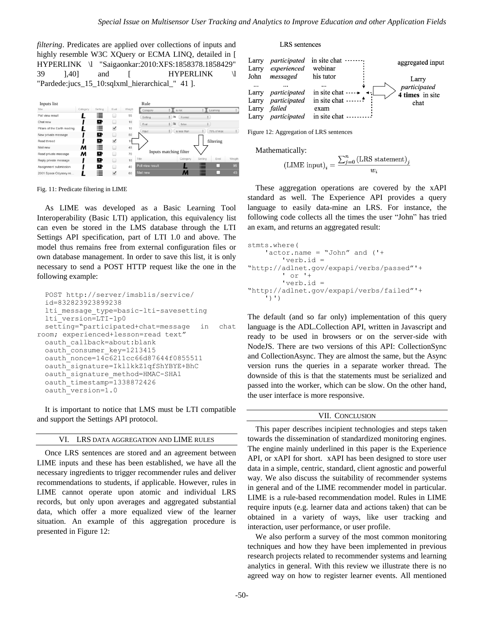*filtering*. Predicates are applied over collections of inputs and highly resemble W3C XQuery or ECMA LINQ, detailed in [ HYPERLINK \l "Saigaonkar:2010:XFS:1858378.1858429" 39 ],40] and [ HYPERLINK \l "Pardede:jucs\_15\_10:sqlxml\_hierarchical\_" 41 ].



Fig. 11: Predicate filtering in LIME

As LIME was developed as a Basic Learning Tool Interoperability (Basic LTI) application, this equivalency list can even be stored in the LMS database through the LTI Settings API specification, part of LTI 1.0 and above. The model thus remains free from external configuration files or own database management. In order to save this list, it is only necessary to send a POST HTTP request like the one in the following example:

```
POST http://server/imsblis/service/ 
  id=832823923899238 
 lti message type=basic-lti-savesetting
  lti_version=LTI-1p0
  setting="participated+chat=message in chat 
room; experienced+lesson=read text"
 oauth_callback=about:blank 
 oauth consumer key=1213415
 oauth_nonce=14c6211cc66d87644f0855511
 oauth_signature=IkllkkZ1qfShYBYE+BhC
 oauth_signature_method=HMAC-SHA1 
 oauth_timestamp=1338872426 
 oauth_version=1.0
```
It is important to notice that LMS must be LTI compatible and support the Settings API protocol.

#### VI. LRS DATA AGGREGATION AND LIME RULES

Once LRS sentences are stored and an agreement between LIME inputs and these has been established, we have all the necessary ingredients to trigger recommender rules and deliver recommendations to students, if applicable. However, rules in LIME cannot operate upon atomic and individual LRS records, but only upon averages and aggregated substantial data, which offer a more equalized view of the learner situation. An example of this aggregation procedure is presented in Figure 12:

#### LRS sentences



Figure 12: Aggregation of LRS sentences

Mathematically:

$$
\left(\text{LIME input}\right)_i = \frac{\sum_{j=0}^n \left(\text{LRS statement}\right)_j}{w_i}
$$

These aggregation operations are covered by the xAPI standard as well. The Experience API provides a query language to easily data-mine an LRS. For instance, the following code collects all the times the user "John" has tried an exam, and returns an aggregated result:

```
stmts.where(
     'actor.name = "John" and ('+
         'verb.id = 
"http://adlnet.gov/expapi/verbs/passed"'+
        ' or ' +
         'verb.id = 
"http://adlnet.gov/expapi/verbs/failed"'+
     ')')
```
The default (and so far only) implementation of this query language is the ADL.Collection API, written in Javascript and ready to be used in browsers or on the server-side with NodeJS. There are two versions of this API: CollectionSync and CollectionAsync. They are almost the same, but the Async version runs the queries in a separate worker thread. The downside of this is that the statements must be serialized and passed into the worker, which can be slow. On the other hand, the user interface is more responsive.

#### VII. CONCLUSION

This paper describes incipient technologies and steps taken towards the dissemination of standardized monitoring engines. The engine mainly underlined in this paper is the Experience API, or xAPI for short. xAPI has been designed to store user data in a simple, centric, standard, client agnostic and powerful way. We also discuss the suitability of recommender systems in general and of the LIME recommender model in particular. LIME is a rule-based recommendation model. Rules in LIME require inputs (e.g. learner data and actions taken) that can be obtained in a variety of ways, like user tracking and interaction, user performance, or user profile.

We also perform a survey of the most common monitoring techniques and how they have been implemented in previous research projects related to recommender systems and learning analytics in general. With this review we illustrate there is no agreed way on how to register learner events. All mentioned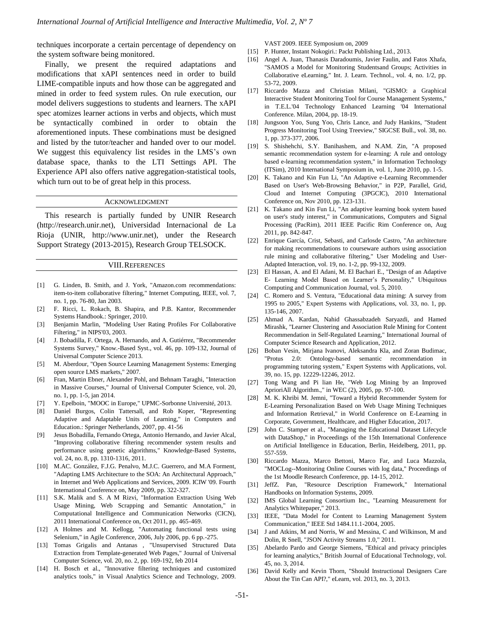techniques incorporate a certain percentage of dependency on the system software being monitored.

Finally, we present the required adaptations and modifications that xAPI sentences need in order to build LIME-compatible inputs and how those can be aggregated and mined in order to feed system rules. On rule execution, our model delivers suggestions to students and learners. The xAPI spec atomizes learner actions in verbs and objects, which must be syntactically combined in order to obtain the aforementioned inputs. These combinations must be designed and listed by the tutor/teacher and handed over to our model. We suggest this equivalency list resides in the LMS's own database space, thanks to the LTI Settings API. The Experience API also offers native aggregation-statistical tools, which turn out to be of great help in this process.

#### ACKNOWLEDGMENT

This research is partially funded by UNIR Research (http://research.unir.net), Universidad Internacional de La Rioja (UNIR, http://www.unir.net), under the Research Support Strategy (2013-2015), Research Group TELSOCK.

#### VIII.REFERENCES

- [1] G. Linden, B. Smith, and J. York, "Amazon.com recommendations: item-to-item collaborative filtering," Internet Computing, IEEE, vol. 7, no. 1, pp. 76-80, Jan 2003.
- [2] F. Ricci, L. Rokach, B. Shapira, and P.B. Kantor, Recommender Systems Handbook.: Springer, 2010.
- [3] Benjamin Marlin, "Modeling User Rating Profiles For Collaborative Filtering," in NIPS'03, 2003.
- [4] J. Bobadilla, F. Ortega, A. Hernando, and A. Gutiérrez, "Recommender Systems Survey," Know.-Based Syst., vol. 46, pp. 109-132, Journal of Universal Computer Science 2013.
- [5] M. Aberdour, "Open Source Learning Management Systems: Emerging open source LMS markets," 2007.
- [6] Fran, Martin Ebner, Alexander Pohl, and Behnam Taraghi, "Interaction in Massive Courses," Journal of Universal Computer Science, vol. 20, no. 1, pp. 1-5, jan 2014.
- [7] Y. Epelboin, "MOOC in Europe," UPMC-Sorbonne Université, 2013.
- [8] Daniel Burgos, Colin Tattersall, and Rob Koper, "Representing Adaptive and Adaptable Units of Learning," in Computers and Education.: Springer Netherlands, 2007, pp. 41-56
- [9] Jesus Bobadilla, Fernando Ortega, Antonio Hernando, and Javier Alcal, "Improving collaborative filtering recommender system results and performance using genetic algorithms," Knowledge-Based Systems, vol. 24, no. 8, pp. 1310-1316, 2011.
- [10] M.AC. González, F.J.G. Penalvo, M.J.C. Guerrero, and M.A Forment, "Adapting LMS Architecture to the SOA: An Architectural Approach," in Internet and Web Applications and Services, 2009. ICIW '09. Fourth International Conference on, May 2009, pp. 322-327.
- [11] S.K. Malik and S. A M Rizvi, "Information Extraction Using Web Usage Mining, Web Scrapping and Semantic Annotation," in Computational Intelligence and Communication Networks (CICN), 2011 International Conference on, Oct 2011, pp. 465-469.
- [12] A Holmes and M. Kellogg, "Automating functional tests using Selenium," in Agile Conference, 2006, July 2006, pp. 6 pp.-275.
- [13] Tomas Grigalis and Antanas , "Unsupervised Structured Data Extraction from Template-generated Web Pages," Journal of Universal Computer Science, vol. 20, no. 2, pp. 169-192, feb 2014
- [14] H. Bosch et al., "Innovative filtering techniques and customized analytics tools," in Visual Analytics Science and Technology, 2009.

VAST 2009. IEEE Symposium on, 2009

- [15] P. Hunter, Instant Nokogiri.: Packt Publishing Ltd., 2013.
- [16] Angel A. Juan, Thanasis Daradoumis, Javier Faulin, and Fatos Xhafa, "SAMOS a Model for Monitoring Studentsand Groups; Activities in Collaborative eLearning," Int. J. Learn. Technol., vol. 4, no. 1/2, pp. 53-72, 2009.
- [17] Riccardo Mazza and Christian Milani, "GISMO: a Graphical Interactive Student Monitoring Tool for Course Management Systems," in T.E.L.'04 Technology Enhanced Learning '04 International Conference. Milan, 2004, pp. 18-19.
- [18] Jungsoon Yoo, Sung Yoo, Chris Lance, and Judy Hankins, "Student Progress Monitoring Tool Using Treeview," SIGCSE Bull., vol. 38, no. 1, pp. 373-377, 2006.
- [19] S. Shishehchi, S.Y. Banihashem, and N.AM. Zin, "A proposed semantic recommendation system for e-learning: A rule and ontology based e-learning recommendation system," in Information Technology (ITSim), 2010 International Symposium in, vol. 1, June 2010, pp. 1-5.
- [20] K. Takano and Kin Fun Li, "An Adaptive e-Learning Recommender Based on User's Web-Browsing Behavior," in P2P, Parallel, Grid, Cloud and Internet Computing (3PGCIC), 2010 International Conference on, Nov 2010, pp. 123-131.
- [21] K. Takano and Kin Fun Li, "An adaptive learning book system based on user's study interest," in Communications, Computers and Signal Processing (PacRim), 2011 IEEE Pacific Rim Conference on, Aug 2011, pp. 842-847.
- [22] Enrique García, Crist, Sebasti, and Carlosde Castro, "An architecture for making recommendations to courseware authors using association rule mining and collaborative filtering," User Modeling and User-Adapted Interaction, vol. 19, no. 1-2, pp. 99-132, 2009.
- [23] El Hassan, A. and El Adani, M. El Bachari E., "Design of an Adaptive E- Learning Model Based on Learner's Personality," Ubiquitous Computing and Communication Journal, vol. 5, 2010.
- [24] C. Romero and S. Ventura, "Educational data mining: A survey from 1995 to 2005," Expert Systems with Applications, vol. 33, no. 1, pp. 135-146, 2007.
- [25] Ahmad A. Kardan, Nahid Ghassabzadeh Saryazdi, and Hamed Mirashk, "Learner Clustering and Association Rule Mining for Content Recommendation in Self-Regulated Learning," International Journal of Computer Science Research and Application, 2012.
- [26] Boban Vesin, Mirjana Ivanovi, Aleksandra Kla, and Zoran Budimac, "Protus 2.0: Ontology-based semantic recommendation in programming tutoring system," Expert Systems with Applications, vol. 39, no. 15, pp. 12229-12246, 2012.
- [27] Tong Wang and Pi lian He, "Web Log Mining by an Improved AprioriAll Algorithm.," in WEC (2), 2005, pp. 97-100.
- [28] M. K. Khribi M. Jemni, "Toward a Hybrid Recommender System for E-Learning Personalization Based on Web Usage Mining Techniques and Information Retrieval," in World Conference on E-Learning in Corporate, Government, Healthcare, and Higher Education, 2017.
- [29] John C. Stamper et al., "Managing the Educational Dataset Lifecycle with DataShop," in Proceedings of the 15th International Conference on Artificial Intelligence in Education, Berlin, Heidelberg, 2011, pp. 557-559.
- [30] Riccardo Mazza, Marco Bettoni, Marco Far, and Luca Mazzola, "MOCLog--Monitoring Online Courses with log data," Proceedings of the 1st Moodle Research Conference, pp. 14-15, 2012.
- [31] JeffZ. Pan, "Resource Description Framework," International Handbooks on Information Systems, 2009.
- [32] IMS Global Learning Consortium Inc., "Learning Measurement for Analytics Whitepaper," 2013.
- [33] IEEE, "Data Model for Content to Learning Management System Communication," IEEE Std 1484.11.1-2004, 2005.
- [34] J and Atkins, M and Norris, W and Messina, C and Wilkinson, M and Dolin, R Snell, "JSON Activity Streams 1.0," 2011.
- [35] Abelardo Pardo and George Siemens, "Ethical and privacy principles for learning analytics," British Journal of Educational Technology, vol. 45, no. 3, 2014.
- [36] David Kelly and Kevin Thorn, "Should Instructional Designers Care About the Tin Can API?," eLearn, vol. 2013, no. 3, 2013.